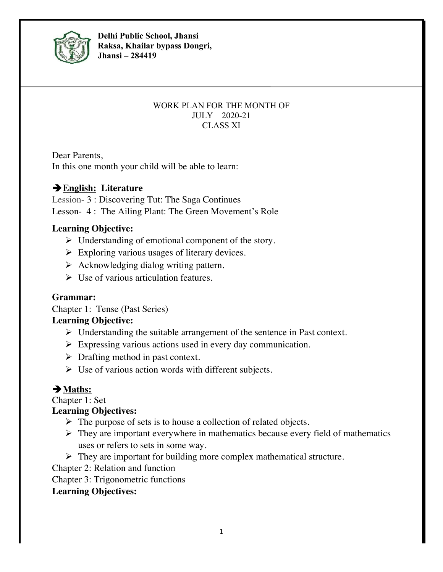

**Delhi Public School, Jhansi Raksa, Khailar bypass Dongri, Jhansi – 284419**

#### WORK PLAN FOR THE MONTH OF JULY – 2020-21 CLASS XI

Dear Parents, In this one month your child will be able to learn:

## è**English: Literature**

Lession- 3 : Discovering Tut: The Saga Continues Lesson- 4 : The Ailing Plant: The Green Movement's Role

#### **Learning Objective:**

- $\triangleright$  Understanding of emotional component of the story.
- $\triangleright$  Exploring various usages of literary devices.
- $\triangleright$  Acknowledging dialog writing pattern.
- $\triangleright$  Use of various articulation features.

### **Grammar:**

Chapter 1: Tense (Past Series)

#### **Learning Objective:**

- $\triangleright$  Understanding the suitable arrangement of the sentence in Past context.
- $\triangleright$  Expressing various actions used in every day communication.
- $\triangleright$  Drafting method in past context.
- $\triangleright$  Use of various action words with different subjects.

# è**Maths:**

Chapter 1: Set

### **Learning Objectives:**

- $\triangleright$  The purpose of sets is to house a collection of related objects.
- $\triangleright$  They are important everywhere in mathematics because every field of mathematics uses or refers to sets in some way.
- $\triangleright$  They are important for building more complex mathematical structure.

Chapter 2: Relation and function

Chapter 3: Trigonometric functions

#### **Learning Objectives:**